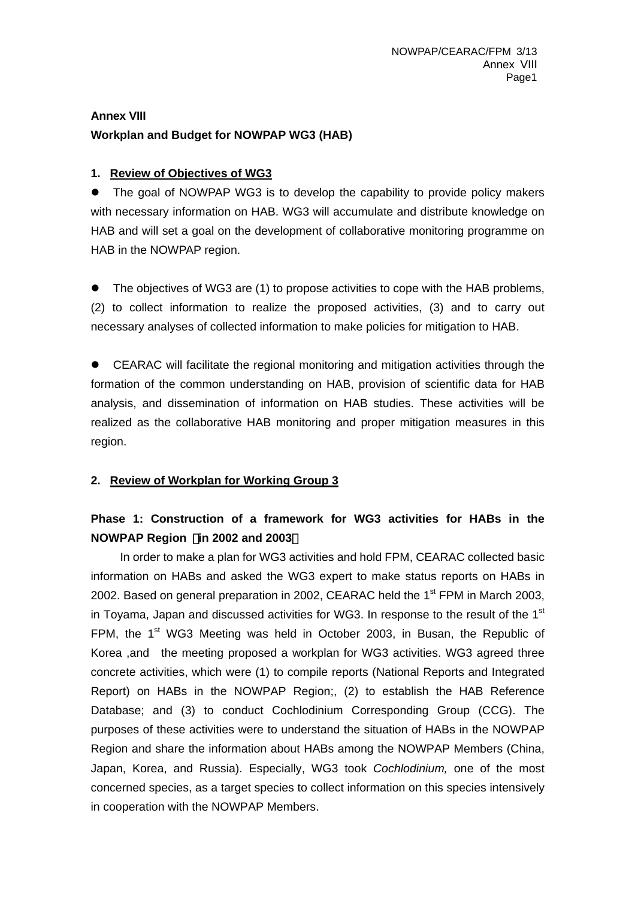# **Annex VIII Workplan and Budget for NOWPAP WG3 (HAB)**

## **1. Review of Objectives of WG3**

• The goal of NOWPAP WG3 is to develop the capability to provide policy makers with necessary information on HAB. WG3 will accumulate and distribute knowledge on HAB and will set a goal on the development of collaborative monitoring programme on HAB in the NOWPAP region.

• The objectives of WG3 are (1) to propose activities to cope with the HAB problems, (2) to collect information to realize the proposed activities, (3) and to carry out necessary analyses of collected information to make policies for mitigation to HAB.

CEARAC will facilitate the regional monitoring and mitigation activities through the formation of the common understanding on HAB, provision of scientific data for HAB analysis, and dissemination of information on HAB studies. These activities will be realized as the collaborative HAB monitoring and proper mitigation measures in this region.

#### **2. Review of Workplan for Working Group 3**

# **Phase 1: Construction of a framework for WG3 activities for HABs in the NOWPAP Region** (**in 2002 and 2003**)

In order to make a plan for WG3 activities and hold FPM, CEARAC collected basic information on HABs and asked the WG3 expert to make status reports on HABs in 2002. Based on general preparation in 2002, CEARAC held the 1<sup>st</sup> FPM in March 2003, in Toyama, Japan and discussed activities for WG3. In response to the result of the 1<sup>st</sup> FPM, the  $1<sup>st</sup>$  WG3 Meeting was held in October 2003, in Busan, the Republic of Korea ,and the meeting proposed a workplan for WG3 activities. WG3 agreed three concrete activities, which were (1) to compile reports (National Reports and Integrated Report) on HABs in the NOWPAP Region;, (2) to establish the HAB Reference Database; and (3) to conduct Cochlodinium Corresponding Group (CCG). The purposes of these activities were to understand the situation of HABs in the NOWPAP Region and share the information about HABs among the NOWPAP Members (China, Japan, Korea, and Russia). Especially, WG3 took *Cochlodinium,* one of the most concerned species, as a target species to collect information on this species intensively in cooperation with the NOWPAP Members.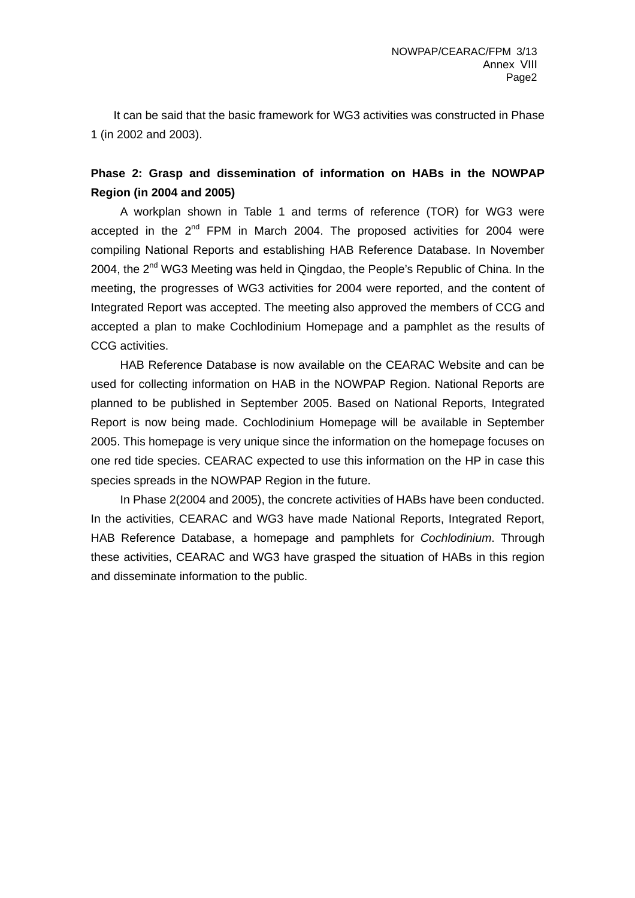It can be said that the basic framework for WG3 activities was constructed in Phase 1 (in 2002 and 2003).

## **Phase 2: Grasp and dissemination of information on HABs in the NOWPAP Region (in 2004 and 2005)**

A workplan shown in Table 1 and terms of reference (TOR) for WG3 were accepted in the 2<sup>nd</sup> FPM in March 2004. The proposed activities for 2004 were compiling National Reports and establishing HAB Reference Database. In November 2004, the 2<sup>nd</sup> WG3 Meeting was held in Qingdao, the People's Republic of China. In the meeting, the progresses of WG3 activities for 2004 were reported, and the content of Integrated Report was accepted. The meeting also approved the members of CCG and accepted a plan to make Cochlodinium Homepage and a pamphlet as the results of CCG activities.

HAB Reference Database is now available on the CEARAC Website and can be used for collecting information on HAB in the NOWPAP Region. National Reports are planned to be published in September 2005. Based on National Reports, Integrated Report is now being made. Cochlodinium Homepage will be available in September 2005. This homepage is very unique since the information on the homepage focuses on one red tide species. CEARAC expected to use this information on the HP in case this species spreads in the NOWPAP Region in the future.

In Phase 2(2004 and 2005), the concrete activities of HABs have been conducted. In the activities, CEARAC and WG3 have made National Reports, Integrated Report, HAB Reference Database, a homepage and pamphlets for *Cochlodinium*. Through these activities, CEARAC and WG3 have grasped the situation of HABs in this region and disseminate information to the public.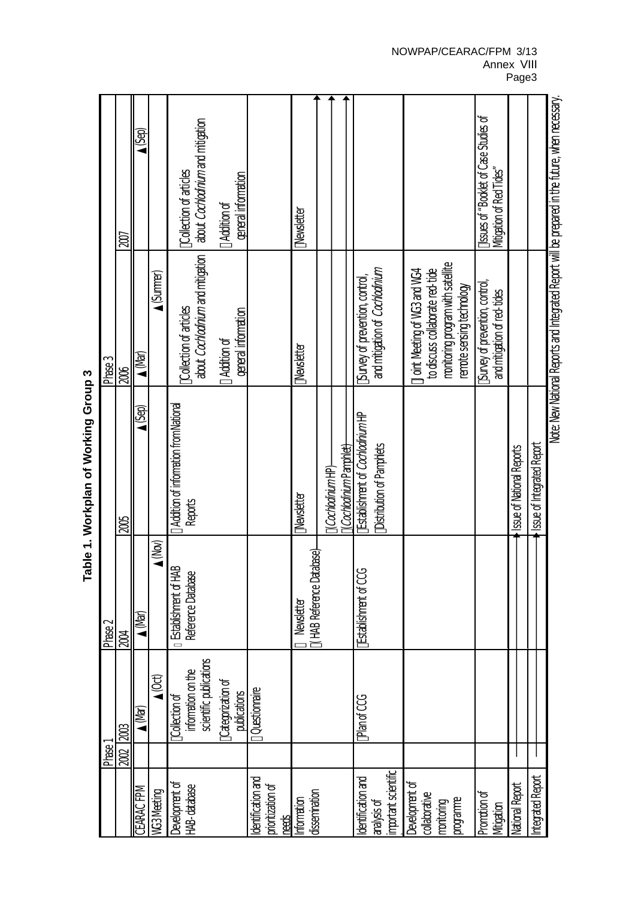Table 1. Workplan of Working Group 3 **Table 1. Workplan of Working Group 3** 

#### NOWPAP/CEARAC/FPM 3/13 Annex VIII Page3

Note: New National Reports and Integrated Report will be prepared in the future, when necessary. Note: New National Reports and Integrated Report will be prepared in the future, when necessary.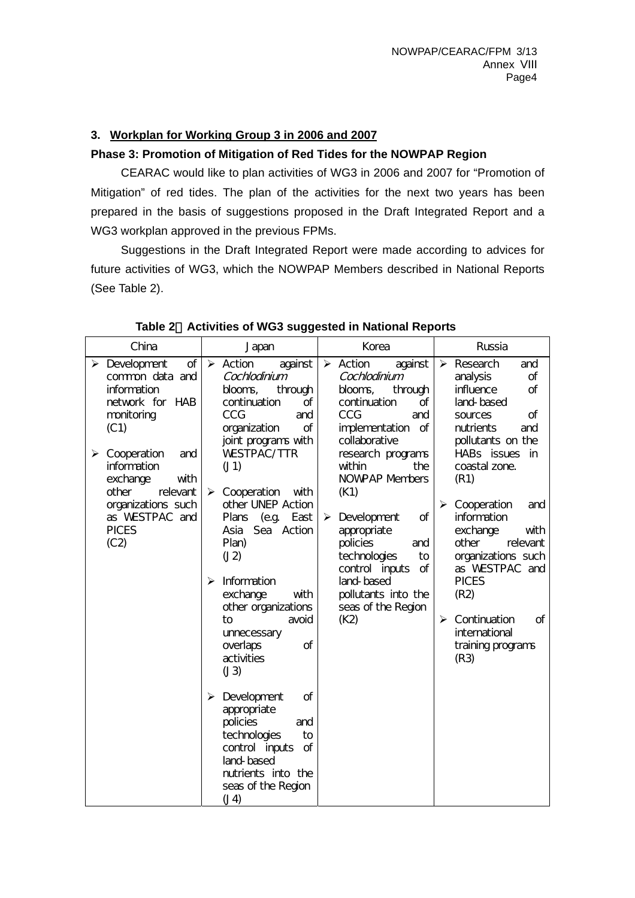## **3. Workplan for Working Group 3 in 2006 and 2007**

### **Phase 3: Promotion of Mitigation of Red Tides for the NOWPAP Region**

CEARAC would like to plan activities of WG3 in 2006 and 2007 for "Promotion of Mitigation" of red tides. The plan of the activities for the next two years has been prepared in the basis of suggestions proposed in the Draft Integrated Report and a WG3 workplan approved in the previous FPMs.

Suggestions in the Draft Integrated Report were made according to advices for future activities of WG3, which the NOWPAP Members described in National Reports (See Table 2).

| China                                                                                                                                                                                                                                                                | Japan                                                                                                                                                                                                                                                                                                   | Korea                                                                                                                                                                                                                                                                        | Russia                                                                                                                                                                                                                                                                     |
|----------------------------------------------------------------------------------------------------------------------------------------------------------------------------------------------------------------------------------------------------------------------|---------------------------------------------------------------------------------------------------------------------------------------------------------------------------------------------------------------------------------------------------------------------------------------------------------|------------------------------------------------------------------------------------------------------------------------------------------------------------------------------------------------------------------------------------------------------------------------------|----------------------------------------------------------------------------------------------------------------------------------------------------------------------------------------------------------------------------------------------------------------------------|
| $\triangleright$ Development<br>of<br>common data and<br>information<br>network for HAB<br>monitoring<br>(C1)<br>$\triangleright$ Cooperation<br>and<br>information<br>with<br>exchange<br>other<br>relevant<br>organizations such<br>as WESTPAC and<br><b>PICES</b> | $\triangleright$ Action<br>against<br>Cochlodinium<br>through<br>blooms,<br>continuation<br>of<br>CCG<br>and<br>of<br>organization<br>joint programs with<br><b>WESTPAC/TTR</b><br>(J1)<br>$\blacktriangleright$<br>Cooperation<br>with<br>other UNEP Action<br>Plans<br>(e.g. East)<br>Asia Sea Action | $\triangleright$ Action<br>against<br>Cochlodinium<br>blooms,<br>through<br>continuation<br>of<br><b>CCG</b><br>and<br>implementation<br>of<br>collaborative<br>research programs<br>within<br>the<br><b>NOWPAP Members</b><br>(K1)<br>of<br>Development<br>➤<br>appropriate | $\triangleright$ Research<br>and<br>analysis<br>of<br>influence<br>of<br>land-based<br>of<br>sources<br>nutrients<br>and<br>pollutants on the<br>HABs issues in<br>coastal zone.<br>(R1)<br>Cooperation<br>$\blacktriangleright$<br>and<br>information<br>exchange<br>with |
| (C2)                                                                                                                                                                                                                                                                 | Plan)<br>(12)<br>Information<br>⋗<br>exchange<br>with<br>other organizations<br>to<br>avoid<br>unnecessary<br>overlaps<br>οf<br>activities<br>(J3)                                                                                                                                                      | policies<br>and<br>technologies<br>to<br>control inputs<br>of<br>land-based<br>pollutants into the<br>seas of the Region<br>(K2)                                                                                                                                             | other<br>relevant<br>organizations such<br>as WESTPAC and<br><b>PICES</b><br>(R2)<br>Continuation<br>$\blacktriangleright$<br>of<br>international<br>training programs<br>(R3)                                                                                             |
|                                                                                                                                                                                                                                                                      | $\triangleright$ Development<br>Οf<br>appropriate<br>policies<br>and<br>technologies<br>to<br>control inputs<br>of<br>land-based<br>nutrients into the<br>seas of the Region<br>(14)                                                                                                                    |                                                                                                                                                                                                                                                                              |                                                                                                                                                                                                                                                                            |

**Table 2**.**Activities of WG3 suggested in National Reports**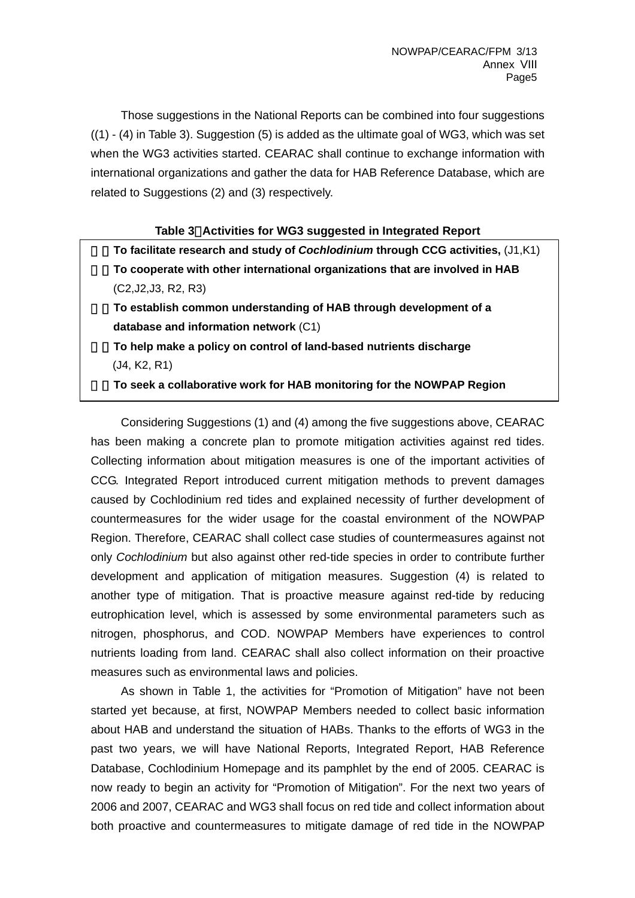Those suggestions in the National Reports can be combined into four suggestions  $((1) - (4)$  in Table 3). Suggestion (5) is added as the ultimate goal of WG3, which was set when the WG3 activities started. CEARAC shall continue to exchange information with international organizations and gather the data for HAB Reference Database, which are related to Suggestions (2) and (3) respectively.

#### **Table 3**.**Activities for WG3 suggested in Integrated Report**

1. **To facilitate research and study of** *Cochlodinium* **through CCG activities,** (J1,K1) 2. **To cooperate with other international organizations that are involved in HAB** (C2,J2,J3, R2, R3)

3. **To establish common understanding of HAB through development of a database and information network** (C1)

4. **To help make a policy on control of land-based nutrients discharge** (J4, K2, R1)

5. **To seek a collaborative work for HAB monitoring for the NOWPAP Region**

Considering Suggestions (1) and (4) among the five suggestions above, CEARAC has been making a concrete plan to promote mitigation activities against red tides. Collecting information about mitigation measures is one of the important activities of CCG. Integrated Report introduced current mitigation methods to prevent damages caused by Cochlodinium red tides and explained necessity of further development of countermeasures for the wider usage for the coastal environment of the NOWPAP Region. Therefore, CEARAC shall collect case studies of countermeasures against not only *Cochlodinium* but also against other red-tide species in order to contribute further development and application of mitigation measures. Suggestion (4) is related to another type of mitigation. That is proactive measure against red-tide by reducing eutrophication level, which is assessed by some environmental parameters such as nitrogen, phosphorus, and COD. NOWPAP Members have experiences to control nutrients loading from land. CEARAC shall also collect information on their proactive measures such as environmental laws and policies.

As shown in Table 1, the activities for "Promotion of Mitigation" have not been started yet because, at first, NOWPAP Members needed to collect basic information about HAB and understand the situation of HABs. Thanks to the efforts of WG3 in the past two years, we will have National Reports, Integrated Report, HAB Reference Database, Cochlodinium Homepage and its pamphlet by the end of 2005. CEARAC is now ready to begin an activity for "Promotion of Mitigation". For the next two years of 2006 and 2007, CEARAC and WG3 shall focus on red tide and collect information about both proactive and countermeasures to mitigate damage of red tide in the NOWPAP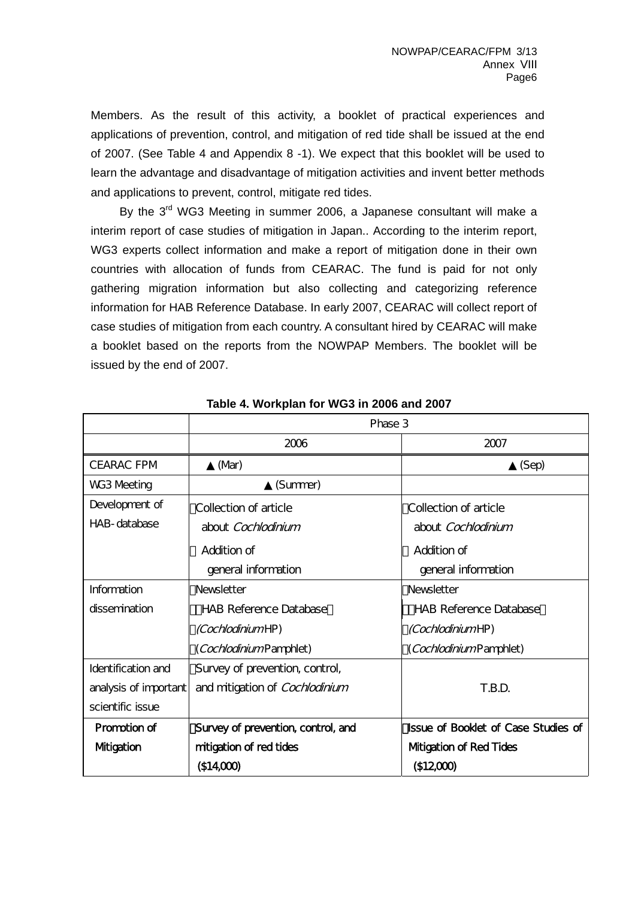Members. As the result of this activity, a booklet of practical experiences and applications of prevention, control, and mitigation of red tide shall be issued at the end of 2007. (See Table 4 and Appendix 8 -1). We expect that this booklet will be used to learn the advantage and disadvantage of mitigation activities and invent better methods and applications to prevent, control, mitigate red tides.

By the  $3<sup>rd</sup>$  WG3 Meeting in summer 2006, a Japanese consultant will make a interim report of case studies of mitigation in Japan.. According to the interim report, WG3 experts collect information and make a report of mitigation done in their own countries with allocation of funds from CEARAC. The fund is paid for not only gathering migration information but also collecting and categorizing reference information for HAB Reference Database. In early 2007, CEARAC will collect report of case studies of mitigation from each country. A consultant hired by CEARAC will make a booklet based on the reports from the NOWPAP Members. The booklet will be issued by the end of 2007.

|                       | Phase 3                            |                                            |  |
|-----------------------|------------------------------------|--------------------------------------------|--|
|                       | 2006                               | 2007                                       |  |
| <b>CEARAC FPM</b>     | (N <sup>h</sup> )                  | (Sep)                                      |  |
| WG3 Meeting           | (Summer)                           |                                            |  |
| Development of        | Collection of article              | Collection of article                      |  |
| HAB-database          | about <i>Cochlodinium</i>          | about Cochlodinium                         |  |
|                       | Addition of                        | Addition of                                |  |
|                       | general information                | general information                        |  |
| Information           | <b>Newsletter</b>                  | <b>Newsletter</b>                          |  |
| dissemination         | <b>HAB Reference Database</b>      | <b>HAB Reference Database</b>              |  |
|                       | <i>(Cochlodinium</i> HP)           | <i>(Cochlodinium</i> HP)                   |  |
|                       | (CochlodiniumPamphlet)             | (CochlodiniumPamphlet)                     |  |
| Identification and    | Survey of prevention, control,     |                                            |  |
| analysis of important | and mitigation of Cochlodinium     | T.B.D.                                     |  |
| scientific issue      |                                    |                                            |  |
| Promotion of          | Survey of prevention, control, and | <b>Issue of Booklet of Case Studies of</b> |  |
| <b>Mtigation</b>      | mitigation of red tides            | <b>Mtigation of Red Tides</b>              |  |
|                       | \$14,000                           | \$1200                                     |  |

**Table 4. Workplan for WG3 in 2006 and 2007**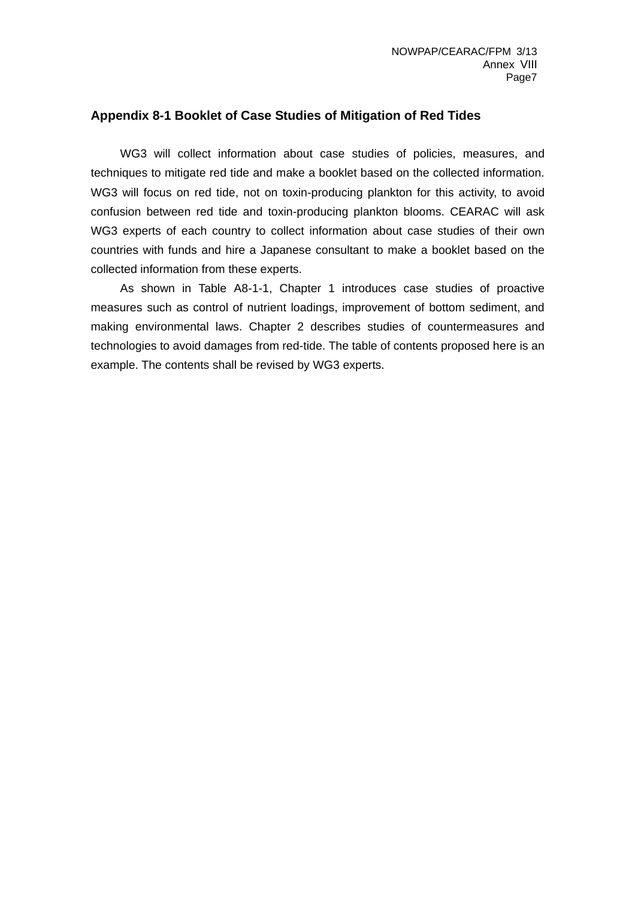### **Appendix 8-1 Booklet of Case Studies of Mitigation of Red Tides**

WG3 will collect information about case studies of policies, measures, and techniques to mitigate red tide and make a booklet based on the collected information. WG3 will focus on red tide, not on toxin-producing plankton for this activity, to avoid confusion between red tide and toxin-producing plankton blooms. CEARAC will ask WG3 experts of each country to collect information about case studies of their own countries with funds and hire a Japanese consultant to make a booklet based on the collected information from these experts.

 As shown in Table A8-1-1, Chapter 1 introduces case studies of proactive measures such as control of nutrient loadings, improvement of bottom sediment, and making environmental laws. Chapter 2 describes studies of countermeasures and technologies to avoid damages from red-tide. The table of contents proposed here is an example. The contents shall be revised by WG3 experts.